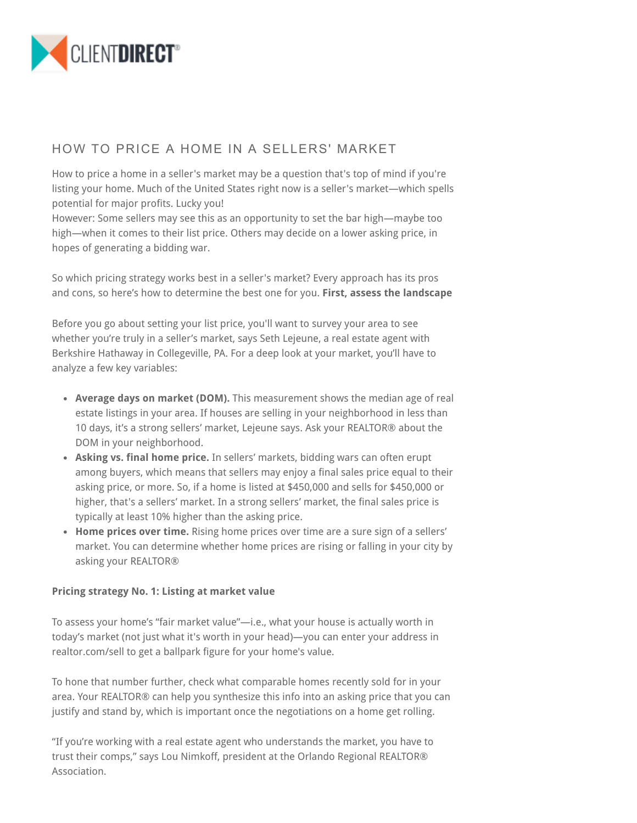

## HOW TO PRICE A HOME IN A SELLERS' MARKET

How to price a home in a seller's market may be a question that's top of mind if you're listing your home. Much of the United States right now is a seller's market—which spells potential for major profits. Lucky you!

However: Some sellers may see this as an opportunity to set the bar high—maybe too high—when it comes to their list price. Others may decide on a lower asking price, in hopes of generating a bidding war.

So which pricing strategy works best in a seller's market? Every approach has its pros and cons, so here's how to determine the best one for you. **First, assess the landscape**

Before you go about setting your list price, you'll want to survey your area to see whether you're truly in a seller's market, says Seth Lejeune, a real estate agent with Berkshire Hathaway in Collegeville, PA. For a deep look at your market, you'll have to analyze a few key variables:

- **Average days on market (DOM).** This measurement shows the median age of real estate listings in your area. If houses are selling in your neighborhood in less than 10 days, it's a strong sellers' market, Lejeune says. Ask your REALTOR® about the DOM in your neighborhood.
- **Asking vs. final home price.** In sellers' markets, bidding wars can often erupt among buyers, which means that sellers may enjoy a final sales price equal to their asking price, or more. So, if a home is listed at \$450,000 and sells for \$450,000 or higher, that's a sellers' market. In a strong sellers' market, the final sales price is typically at least 10% higher than the asking price.
- **Home prices over time.** Rising home prices over time are a sure sign of a sellers' market. You can determine whether home prices are rising or falling in your city by asking your REALTOR®

## **Pricing strategy No. 1: Listing at market value**

To assess your home's "fair market value"—i.e., what your house is actually worth in today's market (not just what it's worth in your head)—you can enter your address in realtor.com/sell to get a ballpark figure for your home's value.

To hone that number further, check what comparable homes recently sold for in your area. Your REALTOR® can help you synthesize this info into an asking price that you can justify and stand by, which is important once the negotiations on a home get rolling.

"If you're working with a real estate agent who understands the market, you have to trust their comps," says Lou Nimkoff, president at the Orlando Regional REALTOR® Association.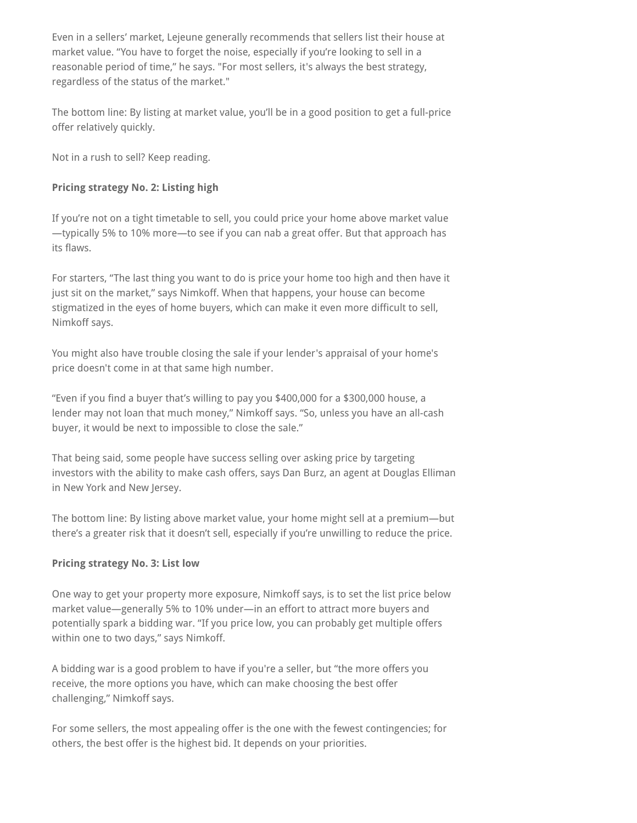Even in a sellers' market, Lejeune generally recommends that sellers list their house at market value. "You have to forget the noise, especially if you're looking to sell in a reasonable period of time," he says. "For most sellers, it's always the best strategy, regardless of the status of the market."

The bottom line: By listing at market value, you'll be in a good position to get a full-price offer relatively quickly.

Not in a rush to sell? Keep reading.

## **Pricing strategy No. 2: Listing high**

If you're not on a tight timetable to sell, you could price your home above market value —typically 5% to 10% more—to see if you can nab a great offer. But that approach has its flaws.

For starters, "The last thing you want to do is price your home too high and then have it just sit on the market," says Nimkoff. When that happens, your house can become stigmatized in the eyes of home buyers, which can make it even more difficult to sell, Nimkoff says.

You might also have trouble closing the sale if your lender's appraisal of your home's price doesn't come in at that same high number.

"Even if you find a buyer that's willing to pay you \$400,000 for a \$300,000 house, a lender may not loan that much money," Nimkoff says. "So, unless you have an all-cash buyer, it would be next to impossible to close the sale."

That being said, some people have success selling over asking price by targeting investors with the ability to make cash offers, says Dan Burz, an agent at Douglas Elliman in New York and New Jersey.

The bottom line: By listing above market value, your home might sell at a premium—but there's a greater risk that it doesn't sell, especially if you're unwilling to reduce the price.

## **Pricing strategy No. 3: List low**

One way to get your property more exposure, Nimkoff says, is to set the list price below market value—generally 5% to 10% under—in an effort to attract more buyers and potentially spark a bidding war. "If you price low, you can probably get multiple offers within one to two days," says Nimkoff.

A bidding war is a good problem to have if you're a seller, but "the more offers you receive, the more options you have, which can make choosing the best offer challenging," Nimkoff says.

For some sellers, the most appealing offer is the one with the fewest contingencies; for others, the best offer is the highest bid. It depends on your priorities.